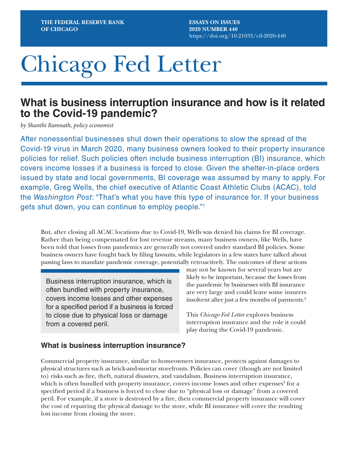**ESSAYS ON ISSUES 2020 NUMBER 440** <https://doi.org/10.21033/cfl-2020-440>

# Chicago Fed Letter

## **What is business interruption insurance and how is it related to the Covid-19 pandemic?**

*by Shanthi Ramnath, policy economist*

After nonessential businesses shut down their operations to slow the spread of the Covid-19 virus in March 2020, many business owners looked to their property insurance policies for relief. Such policies often include business interruption (BI) insurance, which covers income losses if a business is forced to close. Given the shelter-in-place orders issued by state and local governments, BI coverage was assumed by many to apply. For example, Greg Wells, the chief executive of Atlantic Coast Athletic Clubs (ACAC), told the *Washington Post*: "That's what you have this type of insurance for. If your business gets shut down, you can continue to employ people."1

But, after closing all ACAC locations due to Covid-19, Wells was denied his claims for BI coverage. Rather than being compensated for lost revenue streams, many business owners, like Wells, have been told that losses from pandemics are generally not covered under standard BI policies. Some business owners have fought back by filing lawsuits, while legislators in a few states have talked about passing laws to mandate pandemic coverage, potentially retroactively. The outcomes of these actions

Business interruption insurance, which is often bundled with property insurance, covers income losses and other expenses for a specified period if a business is forced to close due to physical loss or damage from a covered peril.

may not be known for several years but are likely to be important, because the losses from the pandemic by businesses with BI insurance are very large and could leave some insurers insolvent after just a few months of payments.<sup>2</sup>

This *Chicago Fed Letter* explores business interruption insurance and the role it could play during the Covid-19 pandemic.

#### **What is business interruption insurance?**

Commercial property insurance, similar to homeowners insurance, protects against damages to physical structures such as brick-and-mortar storefronts. Policies can cover (though are not limited to) risks such as fire, theft, natural disasters, and vandalism. Business interruption insurance, which is often bundled with property insurance, covers income losses and other expenses $3$  for a specified period if a business is forced to close due to "physical loss or damage" from a covered peril. For example, if a store is destroyed by a fire, then commercial property insurance will cover the cost of repairing the physical damage to the store, while BI insurance will cover the resulting lost income from closing the store.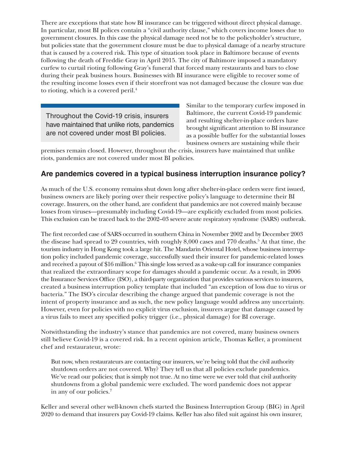There are exceptions that state how BI insurance can be triggered without direct physical damage. In particular, most BI polices contain a "civil authority clause," which covers income losses due to government closures. In this case the physical damage need not be to the policyholder's structure, but policies state that the government closure must be due to physical damage of a nearby structure that is caused by a covered risk. This type of situation took place in Baltimore because of events following the death of Freddie Gray in April 2015. The city of Baltimore imposed a mandatory curfew to curtail rioting following Gray's funeral that forced many restaurants and bars to close during their peak business hours. Businesses with BI insurance were eligible to recover some of the resulting income losses even if their storefront was not damaged because the closure was due to rioting, which is a covered peril.<sup>4</sup>

Throughout the Covid-19 crisis, insurers have maintained that unlike riots, pandemics are not covered under most BI policies.

Similar to the temporary curfew imposed in Baltimore, the current Covid-19 pandemic and resulting shelter-in-place orders have brought significant attention to BI insurance as a possible buffer for the substantial losses business owners are sustaining while their

premises remain closed. However, throughout the crisis, insurers have maintained that unlike riots, pandemics are not covered under most BI policies.

## **Are pandemics covered in a typical business interruption insurance policy?**

As much of the U.S. economy remains shut down long after shelter-in-place orders were first issued, business owners are likely poring over their respective policy's language to determine their BI coverage. Insurers, on the other hand, are confident that pandemics are not covered mainly because losses from viruses—presumably including Covid-19—are explicitly excluded from most policies. This exclusion can be traced back to the 2002–03 severe acute respiratory syndrome (SARS) outbreak.

The first recorded case of SARS occurred in southern China in November 2002 and by December 2003 the disease had spread to 29 countries, with roughly 8,000 cases and 770 deaths.<sup>5</sup> At that time, the tourism industry in Hong Kong took a large hit. The Mandarin Oriental Hotel, whose business interruption policy included pandemic coverage, successfully sued their insurer for pandemic-related losses and received a payout of \$16 million.<sup>6</sup> This single loss served as a wake-up call for insurance companies that realized the extraordinary scope for damages should a pandemic occur. As a result, in 2006 the Insurance Services Office (ISO), a third-party organization that provides various services to insurers, created a business interruption policy template that included "an exception of loss due to virus or bacteria." The ISO's circular describing the change argued that pandemic coverage is not the intent of property insurance and as such, the new policy language would address any uncertainty. However, even for policies with no explicit virus exclusion, insurers argue that damage caused by a virus fails to meet any specified policy trigger (i.e., physical damage) for BI coverage.

Notwithstanding the industry's stance that pandemics are not covered, many business owners still believe Covid-19 is a covered risk. In a recent opinion article, Thomas Keller, a prominent chef and restaurateur, wrote:

But now, when restaurateurs are contacting our insurers[, we're being told that the civil authority](https://edition.cnn.com/2020/03/27/business/thomas-keller-lawsuit-coronavirus-losses/index.html)  [shutdown orders are not covered.](https://edition.cnn.com/2020/03/27/business/thomas-keller-lawsuit-coronavirus-losses/index.html) Why? They tell us that all policies exclude pandemics. We've read our policies; that is simply not true. At no time were we ever told that civil authority shutdowns from a global pandemic were excluded. The word pandemic does not appear in any of our policies.7

Keller and several other well-known chefs started the Business Interruption Group (BIG) in April 2020 to demand that insurers pay Covid-19 claims. Keller has also filed suit against his own insurer,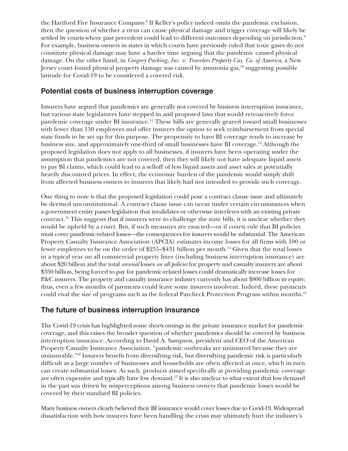the Hartford Fire Insurance Company.8 If Keller's policy indeed omits the pandemic exclusion, then the question of whether a virus can cause physical damage and trigger coverage will likely be settled by courts where past precedent could lead to different outcomes depending on jurisdiction.<sup>9</sup> For example, business owners in states in which courts have previously ruled that toxic gases do not constitute physical damage may have a harder time arguing that the pandemic caused physical damage. On the other hand, in *Gregory Packing, Inc. v. Travelers Property Cas. Co. of America*, a New Jersey court found physical property damage was caused by ammonia gas, $^{10}$  suggesting possible latitude for Covid-19 to be considered a covered risk.

### **Potential costs of business interruption coverage**

Insurers have argued that pandemics are generally not covered by business interruption insurance, but various state legislatures have stepped in and proposed laws that would retroactively force pandemic coverage under BI insurance.<sup>11</sup> These bills are generally geared toward small businesses with fewer than 150 employees and offer insurers the option to seek reimbursement from special state funds to be set up for this purpose. The propensity to have BI coverage tends to increase by business size, and approximately one-third of small businesses have BI coverage.12 Although the proposed legislation does not apply to all businesses, if insurers have been operating under the assumption that pandemics are not covered, then they will likely not have adequate liquid assets to pay BI claims, which could lead to a selloff of less liquid assets and asset sales at potentially heavily discounted prices. In effect, the economic burden of the pandemic would simply shift from affected business owners to insurers that likely had not intended to provide such coverage.

One thing to note is that the proposed legislation could pose a contract clause issue and ultimately be deemed unconstitutional. A contract clause issue can occur under certain circumstances when a government entity passes legislation that invalidates or otherwise interferes with an existing private contract.13 This suggests that if insurers were to challenge the state bills, it is unclear whether they would be upheld by a court. But, if such measures are enacted—or if courts rule that BI policies must cover pandemic-related losses—the consequences for insurers would be substantial. The American Property Casualty Insurance Association (APCIA) estimates income losses for all firms with 100 or fewer employees to be on the order of \$255–\$431 billion per month.14 Given that the total losses in a typical year on all commercial property lines (including business interruption insurance) are about \$20 billion and the total *annual* losses *on all policies* for property and casualty insurers are about \$350 billion, being forced to pay for pandemic-related losses could dramatically increase losses for P&C insurers. The property and casualty insurance industry currently has about \$800 billion in equity; thus, even a few months of payments could leave some insurers insolvent. Indeed, these payments could rival the size of programs such as the federal Paycheck Protection Program within months.15

## **The future of business interruption insurance**

The Covid-19 crisis has highlighted some shortcomings in the private insurance market for pandemic coverage, and this raises the broader question of whether pandemics should be covered by business interruption insurance. According to David A. Sampson, president and CEO of the American Property Casualty Insurance Association, "pandemic outbreaks are uninsured because they are uninsurable."16 Insurers benefit from diversifying risk, but diversifying pandemic risk is particularly difficult as a large number of businesses and households are often affected at once, which in turn can create substantial losses. As such, products aimed specifically at providing pandemic coverage are often expensive and typically have low demand.<sup>17</sup> It is also unclear to what extent that low demand in the past was driven by misperceptions among business owners that pandemic losses would be covered by their standard BI policies.

Many business owners clearly believed their BI insurance would cover losses due to Covid-19. Widespread dissatisfaction with how insurers have been handling the crisis may ultimately hurt the industry's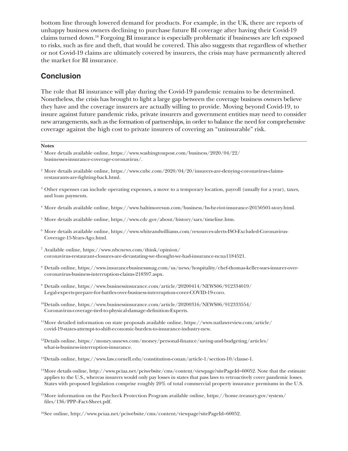bottom line through lowered demand for products. For example, in the UK, there are reports of unhappy business owners declining to purchase future BI coverage after having their Covid-19 claims turned down.18 Forgoing BI insurance is especially problematic if businesses are left exposed to risks, such as fire and theft, that would be covered. This also suggests that regardless of whether or not Covid-19 claims are ultimately covered by insurers, the crisis may have permanently altered the market for BI insurance.

### **Conclusion**

The role that BI insurance will play during the Covid-19 pandemic remains to be determined. Nonetheless, the crisis has brought to light a large gap between the coverage business owners believe they have and the coverage insurers are actually willing to provide. Moving beyond Covid-19, to insure against future pandemic risks, private insurers and government entities may need to consider new arrangements, such as the formation of partnerships, in order to balance the need for comprehensive coverage against the high cost to private insurers of covering an "uninsurable" risk.

#### **Notes**

- <sup>2</sup> More details available online, [https://www.cnbc.com/2020/04/20/insurers-are-denying-coronavirus-claims](https://www.cnbc.com/2020/04/20/insurers-are-denying-coronavirus-claims-restaurants-are-fighting-back.html)[restaurants-are-fighting-back.html](https://www.cnbc.com/2020/04/20/insurers-are-denying-coronavirus-claims-restaurants-are-fighting-back.html).
- <sup>3</sup> Other expenses can include operating expenses, a move to a temporary location, payroll (usually for a year), taxes, and loan payments.
- <sup>4</sup> More details available online,<https://www.baltimoresun.com/business/bs-bz-riot-insurance-20150501-story.html>.
- <sup>5</sup> More details available online,<https://www.cdc.gov/about/history/sars/timeline.htm>.
- <sup>6</sup> More details available online, [https://www.whiteandwilliams.com/resources-alerts-ISO-Excluded-Coronavirus-](https://www.whiteandwilliams.com/resources-alerts-ISO-Excluded-Coronavirus-Coverage-15-Years-Ago.html)[Coverage-15-Years-Ago.html.](https://www.whiteandwilliams.com/resources-alerts-ISO-Excluded-Coronavirus-Coverage-15-Years-Ago.html)
- <sup>7</sup> Available online, [https://www.nbcnews.com/think/opinion/](https://www.nbcnews.com/think/opinion/coronavirus-restaurant-closures-are-devastating-we-thought-we-had-insurance-ncna1184521) [coronavirus-restaurant-closures-are-devastating-we-thought-we-had-insurance-ncna1184521](https://www.nbcnews.com/think/opinion/coronavirus-restaurant-closures-are-devastating-we-thought-we-had-insurance-ncna1184521).
- <sup>8</sup> Details online, [https://www.insurancebusinessmag.com/us/news/hospitality/chef-thomas-keller-sues-insurer-over](https://www.insurancebusinessmag.com/us/news/hospitality/chef-thomas-keller-sues-insurer-over-coronavirus-business-interruption-claims-218397.aspx)[coronavirus-business-interruption-claims-218397.aspx](https://www.insurancebusinessmag.com/us/news/hospitality/chef-thomas-keller-sues-insurer-over-coronavirus-business-interruption-claims-218397.aspx).
- <sup>9</sup> Details online, [https://www.businessinsurance.com/article/20200414/NEWS06/912334019/](https://www.businessinsurance.com/article/20200414/NEWS06/912334019/Legal-experts-prepare-for-battles-over-business-interruption-cover-COVID-19-coro) [Legal-experts-prepare-for-battles-over-business-interruption-cover-COVID-19-coro](https://www.businessinsurance.com/article/20200414/NEWS06/912334019/Legal-experts-prepare-for-battles-over-business-interruption-cover-COVID-19-coro).
- 10Details online, [https://www.businessinsurance.com/article/20200316/NEWS06/912333554/](https://www.businessinsurance.com/article/20200316/NEWS06/912333554/Coronavirus-coverage-tied-to-physical-damage-definition-Experts) [Coronavirus-coverage-tied-to-physical-damage-definition-Experts](https://www.businessinsurance.com/article/20200316/NEWS06/912333554/Coronavirus-coverage-tied-to-physical-damage-definition-Experts).
- <sup>11</sup>More detailed information on state proposals available online, [https://www.natlawreview.com/article/](https://www.natlawreview.com/article/covid-19-states-attempt-to-shift-economic-burden-to-insurance-industry-new) [covid-19-states-attempt-to-shift-economic-burden-to-insurance-industry-new](https://www.natlawreview.com/article/covid-19-states-attempt-to-shift-economic-burden-to-insurance-industry-new).
- 12Details online, [https://money.usnews.com/money/personal-finance/saving-and-budgeting/articles/](https://money.usnews.com/money/personal-finance/saving-and-budgeting/articles/what-is-business-interruption-insurance) [what-is-business-interruption-insurance](https://money.usnews.com/money/personal-finance/saving-and-budgeting/articles/what-is-business-interruption-insurance).
- 13Details online, [https://www.law.cornell.edu/constitution-conan/article-1/section-10/clause-1.](https://www.law.cornell.edu/constitution-conan/article-1/section-10/clause-1)
- 14More details online, [http://www.pciaa.net/pciwebsite/cms/content/viewpage?sitePageId=60052.](http://www.pciaa.net/pciwebsite/cms/content/viewpage?sitePageId=60052) Note that the estimate applies to the U.S., whereas insurers would only pay losses in states that pass laws to retroactively cover pandemic losses. States with proposed legislation comprise roughly 20% of total commercial property insurance premiums in the U.S.
- 15More information on the Paycheck Protection Program available online, [https://home.treasury.gov/system/](https://home.treasury.gov/system/files/136/PPP--Fact-Sheet.pdf) files/136/PPP-Fact-Sheet.pdf.
- 16See online, [http://www.pciaa.net/pciwebsite/cms/content/viewpage?sitePageId=60052.](http://www.pciaa.net/pciwebsite/cms/content/viewpage?sitePageId=60052)

<sup>1</sup> More details available online, [https://www.washingtonpost.com/business/2020/04/22/](https://www.washingtonpost.com/business/2020/04/22/businesses-insurance-coverage-coronavirus/) [businesses-insurance-coverage-coronavirus/.](https://www.washingtonpost.com/business/2020/04/22/businesses-insurance-coverage-coronavirus/)